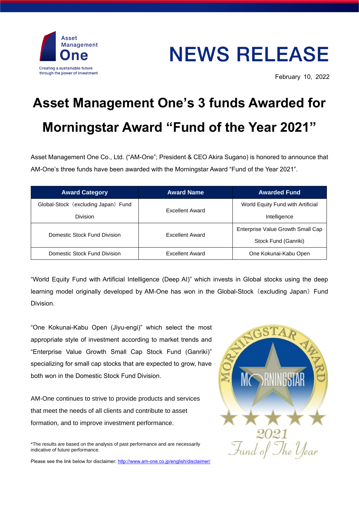

## **NEWS RELEASE**

February 10, 2022

## **Asset Management One's 3 funds Awarded for Morningstar Award "Fund of the Year 2021"**

Asset Management One Co., Ltd. ("AM-One"; President & CEO Akira Sugano) is honored to announce that AM-One's three funds have been awarded with the Morningstar Award "Fund of the Year 2021".

| <b>Award Category</b>               | <b>Award Name</b>      | <b>Awarded Fund</b>               |
|-------------------------------------|------------------------|-----------------------------------|
| Global-Stock (excluding Japan) Fund | <b>Excellent Award</b> | World Equity Fund with Artificial |
| <b>Division</b>                     |                        | Intelligence                      |
| Domestic Stock Fund Division        | <b>Excellent Award</b> | Enterprise Value Growth Small Cap |
|                                     |                        | Stock Fund (Ganriki)              |
| Domestic Stock Fund Division        | <b>Excellent Award</b> | One Kokunai-Kabu Open             |

"World Equity Fund with Artificial Intelligence (Deep AI)" which invests in Global stocks using the deep learning model originally developed by AM-One has won in the Global-Stock (excluding Japan) Fund Division.

"One Kokunai-Kabu Open (Jiyu-engi)" which select the most appropriate style of investment according to market trends and "Enterprise Value Growth Small Cap Stock Fund (Ganriki)" specializing for small cap stocks that are expected to grow, have both won in the Domestic Stock Fund Division.

AM-One continues to strive to provide products and services that meet the needs of all clients and contribute to asset formation, and to improve investment performance.



Please see the link below for disclaimer[: http://www.am-one.co.jp/english/disclaimer/](http://www.am-one.co.jp/english/disclaimer/)